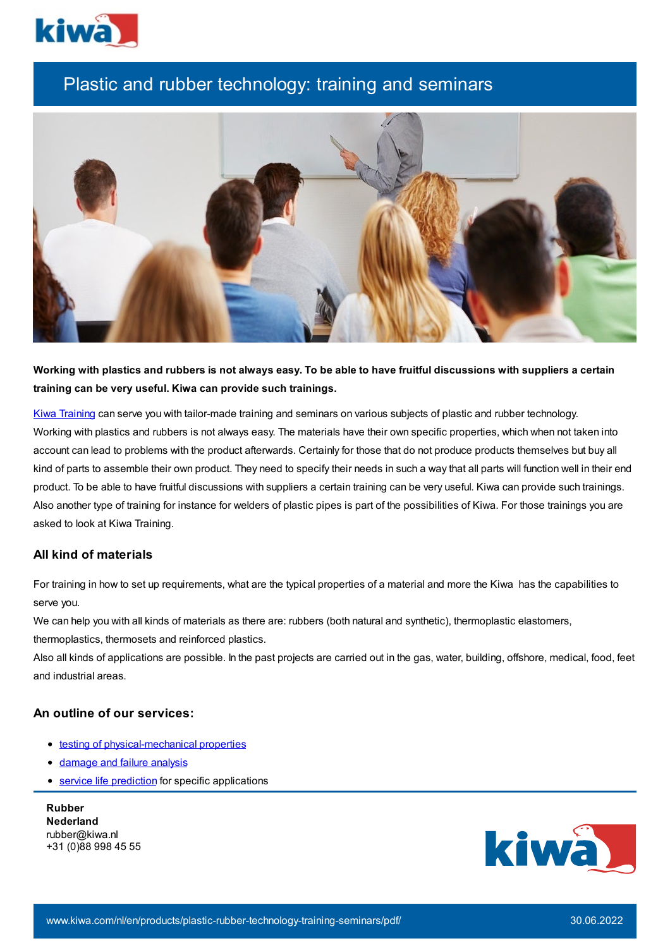

# Plastic and rubber technology: training and seminars



Working with plastics and rubbers is not always easy. To be able to have fruitful discussions with suppliers a certain **training can be very useful. Kiwa can provide such trainings.**

Kiwa [Training](http://www.kiwatraining.nl/) can serve you with tailor-made training and seminars on various subjects of plastic and rubber technology. Working with plastics and rubbers is not always easy. The materials have their own specific properties, which when not taken into account can lead to problems with the product afterwards. Certainly for those that do not produce products themselves but buy all kind of parts to assemble their own product. They need to specify their needs in such a way that all parts will function well in their end product. To be able to have fruitful discussions with suppliers a certain training can be very useful. Kiwa can provide such trainings. Also another type of training for instance for welders of plastic pipes is part of the possibilities of Kiwa. For those trainings you are asked to look at Kiwa Training.

#### **All kind of materials**

For training in how to set up requirements, what are the typical properties of a material and more the Kiwa has the capabilities to serve you.

We can help you with all kinds of materials as there are: rubbers (both natural and synthetic), thermoplastic elastomers,

thermoplastics, thermosets and reinforced plastics.

Also all kinds of applications are possible. In the past projects are carried out in the gas, water, building, offshore, medical, food, feet and industrial areas.

### **An outline of our services:**

- testing of [physical-mechanical](https://www.kiwa.com//en/service/plastic-rubber-testing-physical-mechanical-properties/) properties
- [damage](https://www.kiwa.com//en/service/rubber-elastomer-materials-products-services-solutions/) and failure analysis
- **•** service life [prediction](https://www.kiwa.com//en/service/rubber-investigation-prediction-service-life/) for specific applications

**Rubber Nederland** rubber@kiwa.nl +31 (0)88 998 45 55